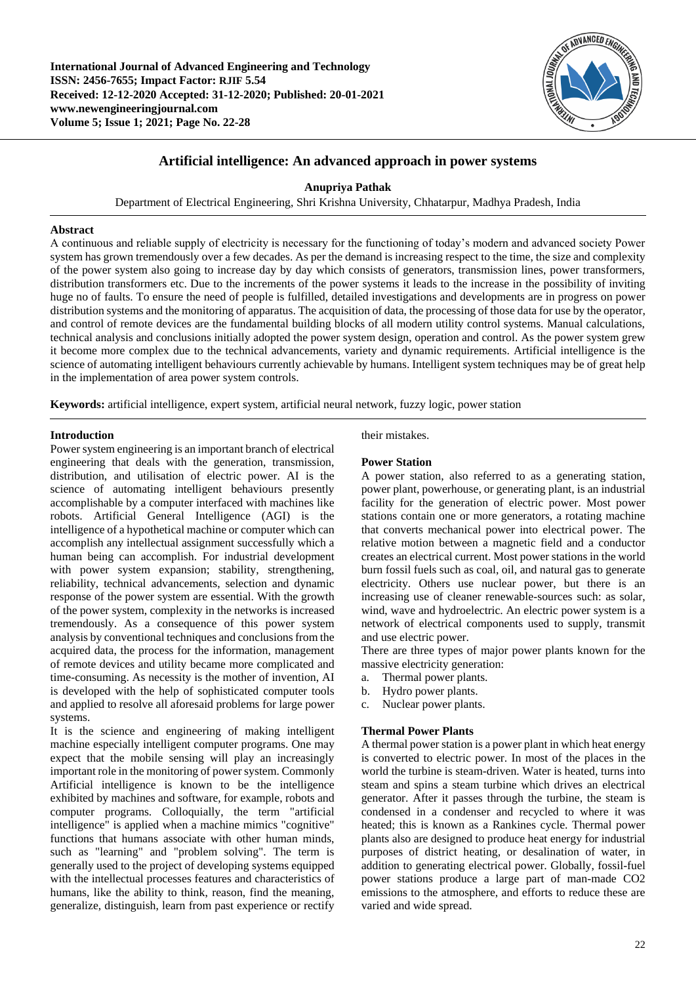

# **Artificial intelligence: An advanced approach in power systems**

**Anupriya Pathak**

Department of Electrical Engineering, Shri Krishna University, Chhatarpur, Madhya Pradesh, India

## **Abstract**

A continuous and reliable supply of electricity is necessary for the functioning of today's modern and advanced society Power system has grown tremendously over a few decades. As per the demand is increasing respect to the time, the size and complexity of the power system also going to increase day by day which consists of generators, transmission lines, power transformers, distribution transformers etc. Due to the increments of the power systems it leads to the increase in the possibility of inviting huge no of faults. To ensure the need of people is fulfilled, detailed investigations and developments are in progress on power distribution systems and the monitoring of apparatus. The acquisition of data, the processing of those data for use by the operator, and control of remote devices are the fundamental building blocks of all modern utility control systems. Manual calculations, technical analysis and conclusions initially adopted the power system design, operation and control. As the power system grew it become more complex due to the technical advancements, variety and dynamic requirements. Artificial intelligence is the science of automating intelligent behaviours currently achievable by humans. Intelligent system techniques may be of great help in the implementation of area power system controls.

**Keywords:** artificial intelligence, expert system, artificial neural network, fuzzy logic, power station

## **Introduction**

Power system engineering is an important branch of electrical engineering that deals with the generation, transmission, distribution, and utilisation of electric power. AI is the science of automating intelligent behaviours presently accomplishable by a computer interfaced with machines like robots. Artificial General Intelligence (AGI) is the intelligence of a hypothetical machine or computer which can accomplish any intellectual assignment successfully which a human being can accomplish. For industrial development with power system expansion; stability, strengthening, reliability, technical advancements, selection and dynamic response of the power system are essential. With the growth of the power system, complexity in the networks is increased tremendously. As a consequence of this power system analysis by conventional techniques and conclusions from the acquired data, the process for the information, management of remote devices and utility became more complicated and time-consuming. As necessity is the mother of invention, AI is developed with the help of sophisticated computer tools and applied to resolve all aforesaid problems for large power systems.

It is the science and engineering of making intelligent machine especially intelligent computer programs. One may expect that the mobile sensing will play an increasingly important role in the monitoring of power system. Commonly Artificial intelligence is known to be the intelligence exhibited by machines and software, for example, robots and computer programs. Colloquially, the term "artificial intelligence" is applied when a machine mimics "cognitive" functions that humans associate with other human minds, such as "learning" and "problem solving". The term is generally used to the project of developing systems equipped with the intellectual processes features and characteristics of humans, like the ability to think, reason, find the meaning, generalize, distinguish, learn from past experience or rectify

## their mistakes.

## **Power Station**

A power station, also referred to as a generating station, power plant, powerhouse, or generating plant, is an industrial facility for the generation of electric power. Most power stations contain one or more generators, a rotating machine that converts mechanical power into electrical power. The relative motion between a magnetic field and a conductor creates an electrical current. Most power stations in the world burn fossil fuels such as coal, oil, and natural gas to generate electricity. Others use nuclear power, but there is an increasing use of cleaner renewable-sources such: as solar, wind, wave and hydroelectric. An electric power system is a network of electrical components used to supply, transmit and use electric power.

There are three types of major power plants known for the massive electricity generation:

- a. Thermal power plants.
- b. Hydro power plants.
- c. Nuclear power plants.

## **Thermal Power Plants**

A thermal power station is a power plant in which heat energy is converted to electric power. In most of the places in the world the turbine is steam-driven. Water is heated, turns into steam and spins a steam turbine which drives an electrical generator. After it passes through the turbine, the steam is condensed in a condenser and recycled to where it was heated; this is known as a Rankines cycle. Thermal power plants also are designed to produce heat energy for industrial purposes of district heating, or desalination of water, in addition to generating electrical power. Globally, fossil-fuel power stations produce a large part of man-made CO2 emissions to the atmosphere, and efforts to reduce these are varied and wide spread.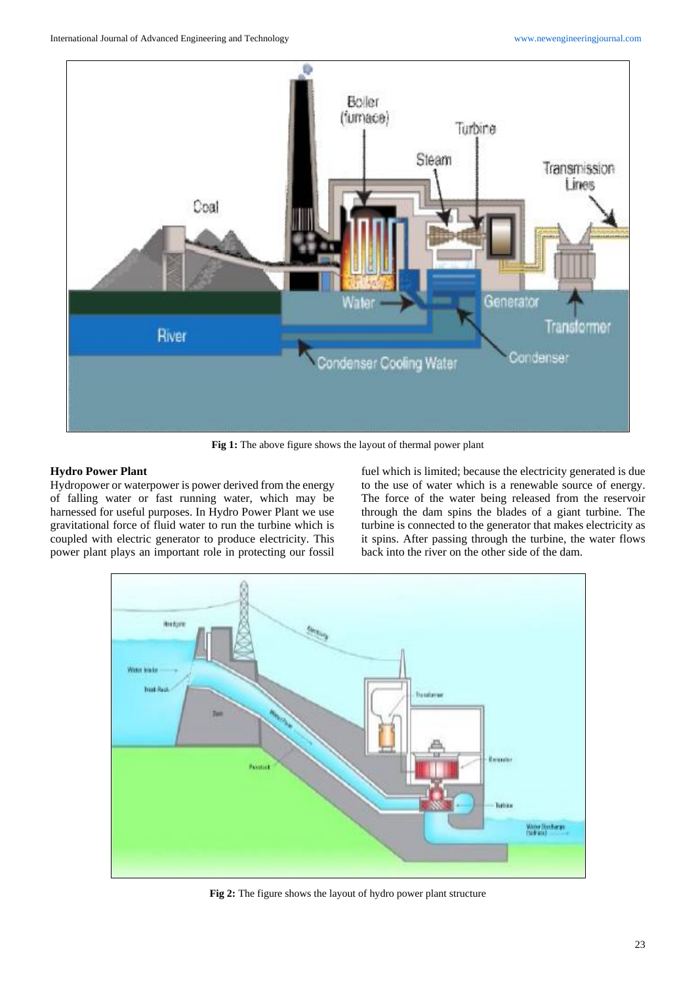

**Fig 1:** The above figure shows the layout of thermal power plant

## **Hydro Power Plant**

Hydropower or waterpower is power derived from the energy of falling water or fast running water, which may be harnessed for useful purposes. In Hydro Power Plant we use gravitational force of fluid water to run the turbine which is coupled with electric generator to produce electricity. This power plant plays an important role in protecting our fossil fuel which is limited; because the electricity generated is due to the use of water which is a renewable source of energy. The force of the water being released from the reservoir through the dam spins the blades of a giant turbine. The turbine is connected to the generator that makes electricity as it spins. After passing through the turbine, the water flows back into the river on the other side of the dam.



**Fig 2:** The figure shows the layout of hydro power plant structure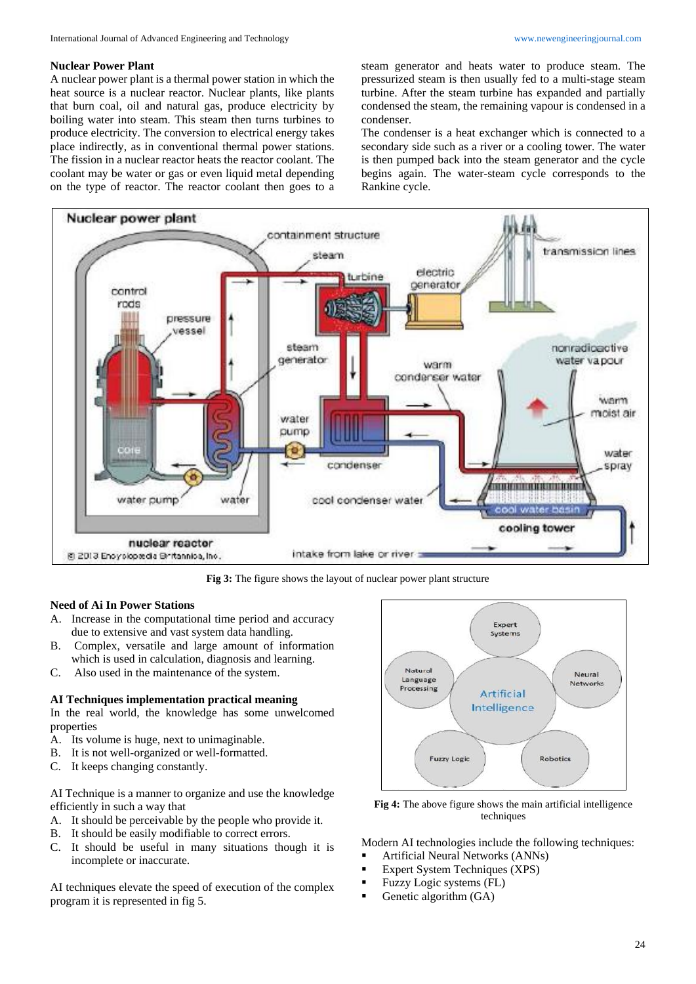### **Nuclear Power Plant**

A nuclear power plant is a thermal power station in which the heat source is a nuclear reactor. Nuclear plants, like plants that burn coal, oil and natural gas, produce electricity by boiling water into steam. This steam then turns turbines to produce electricity. The conversion to electrical energy takes place indirectly, as in conventional thermal power stations. The fission in a nuclear reactor heats the reactor coolant. The coolant may be water or gas or even liquid metal depending on the type of reactor. The reactor coolant then goes to a

steam generator and heats water to produce steam. The pressurized steam is then usually fed to a multi-stage steam turbine. After the steam turbine has expanded and partially condensed the steam, the remaining vapour is condensed in a condenser.

The condenser is a heat exchanger which is connected to a secondary side such as a river or a cooling tower. The water is then pumped back into the steam generator and the cycle begins again. The water-steam cycle corresponds to the Rankine cycle.



**Fig 3:** The figure shows the layout of nuclear power plant structure

## **Need of Ai In Power Stations**

- A. Increase in the computational time period and accuracy due to extensive and vast system data handling.
- B. Complex, versatile and large amount of information which is used in calculation, diagnosis and learning.
- C. Also used in the maintenance of the system.

## **AI Techniques implementation practical meaning**

In the real world, the knowledge has some unwelcomed properties

- A. Its volume is huge, next to unimaginable.
- B. It is not well-organized or well-formatted.
- C. It keeps changing constantly.

AI Technique is a manner to organize and use the knowledge efficiently in such a way that

- A. It should be perceivable by the people who provide it.
- B. It should be easily modifiable to correct errors.
- C. It should be useful in many situations though it is incomplete or inaccurate.

AI techniques elevate the speed of execution of the complex program it is represented in fig 5.



**Fig 4:** The above figure shows the main artificial intelligence techniques

Modern AI technologies include the following techniques:

- Artificial Neural Networks (ANNs)
- Expert System Techniques (XPS)
- Fuzzy Logic systems (FL)
- Genetic algorithm (GA)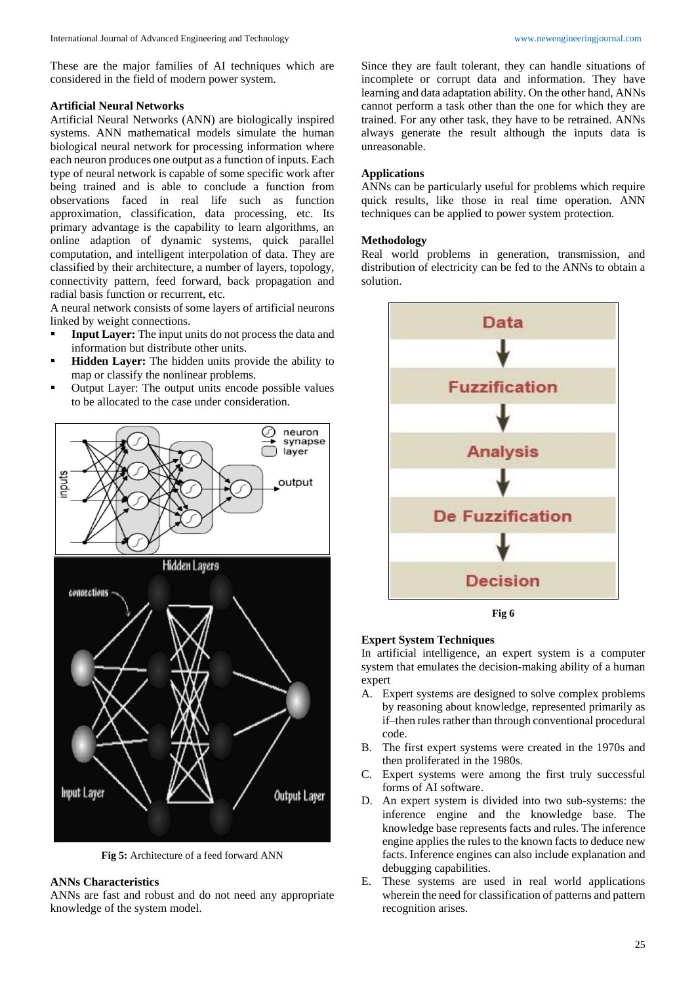These are the major families of AI techniques which are considered in the field of modern power system.

#### **Artificial Neural Networks**

Artificial Neural Networks (ANN) are biologically inspired systems. ANN mathematical models simulate the human biological neural network for processing information where each neuron produces one output as a function of inputs. Each type of neural network is capable of some specific work after being trained and is able to conclude a function from observations faced in real life such as function approximation, classification, data processing, etc. Its primary advantage is the capability to learn algorithms, an online adaption of dynamic systems, quick parallel computation, and intelligent interpolation of data. They are classified by their architecture, a number of layers, topology, connectivity pattern, feed forward, back propagation and radial basis function or recurrent, etc.

A neural network consists of some layers of artificial neurons linked by weight connections.

- **Input Layer:** The input units do not process the data and information but distribute other units.
- **Hidden Layer:** The hidden units provide the ability to map or classify the nonlinear problems.
- **•** Output Layer: The output units encode possible values to be allocated to the case under consideration.



**Fig 5:** Architecture of a feed forward ANN

#### **ANNs Characteristics**

ANNs are fast and robust and do not need any appropriate knowledge of the system model.

Since they are fault tolerant, they can handle situations of incomplete or corrupt data and information. They have learning and data adaptation ability. On the other hand, ANNs cannot perform a task other than the one for which they are trained. For any other task, they have to be retrained. ANNs always generate the result although the inputs data is unreasonable.

### **Applications**

ANNs can be particularly useful for problems which require quick results, like those in real time operation. ANN techniques can be applied to power system protection.

#### **Methodology**

Real world problems in generation, transmission, and distribution of electricity can be fed to the ANNs to obtain a solution.



## **Expert System Techniques**

In artificial intelligence, an expert system is a computer system that emulates the decision-making ability of a human expert

- A. Expert systems are designed to solve complex problems by reasoning about knowledge, represented primarily as if–then rules rather than through conventional procedural code.
- B. The first expert systems were created in the 1970s and then proliferated in the 1980s.
- C. Expert systems were among the first truly successful forms of AI software.
- D. An expert system is divided into two sub-systems: the inference engine and the knowledge base. The knowledge base represents facts and rules. The inference engine applies the rules to the known facts to deduce new facts. Inference engines can also include explanation and debugging capabilities.
- E. These systems are used in real world applications wherein the need for classification of patterns and pattern recognition arises.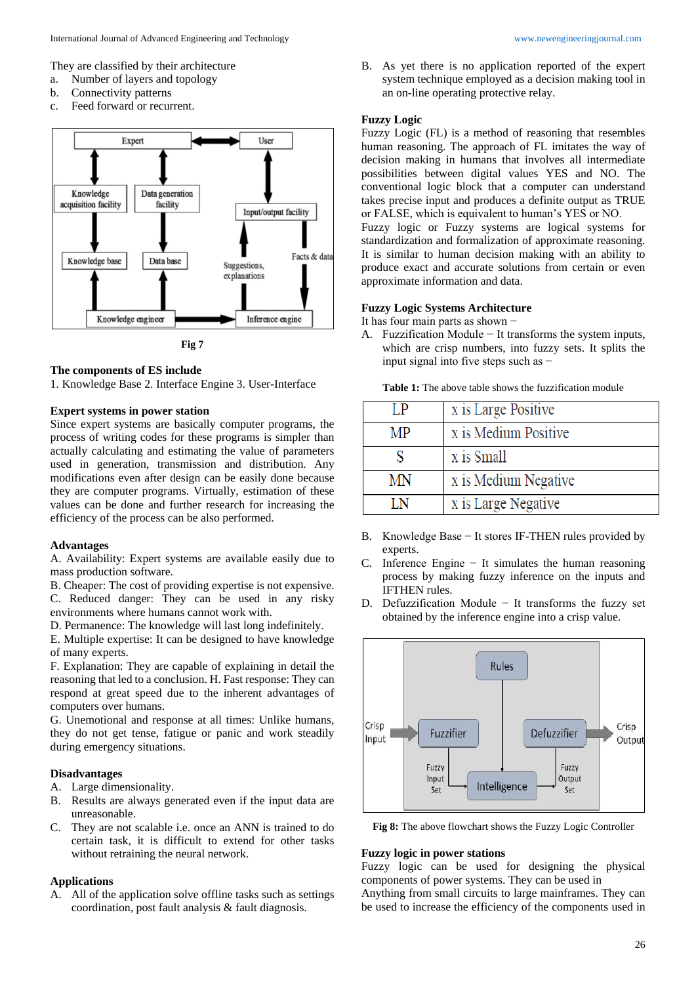They are classified by their architecture

- a. Number of layers and topology
- b. Connectivity patterns
- c. Feed forward or recurrent.



#### **The components of ES include**

1. Knowledge Base 2. Interface Engine 3. User-Interface

### **Expert systems in power station**

Since expert systems are basically computer programs, the process of writing codes for these programs is simpler than actually calculating and estimating the value of parameters used in generation, transmission and distribution. Any modifications even after design can be easily done because they are computer programs. Virtually, estimation of these values can be done and further research for increasing the efficiency of the process can be also performed.

#### **Advantages**

A. Availability: Expert systems are available easily due to mass production software.

B. Cheaper: The cost of providing expertise is not expensive. C. Reduced danger: They can be used in any risky environments where humans cannot work with.

D. Permanence: The knowledge will last long indefinitely.

E. Multiple expertise: It can be designed to have knowledge of many experts.

F. Explanation: They are capable of explaining in detail the reasoning that led to a conclusion. H. Fast response: They can respond at great speed due to the inherent advantages of computers over humans.

G. Unemotional and response at all times: Unlike humans, they do not get tense, fatigue or panic and work steadily during emergency situations.

## **Disadvantages**

A. Large dimensionality.

- B. Results are always generated even if the input data are unreasonable.
- C. They are not scalable i.e. once an ANN is trained to do certain task, it is difficult to extend for other tasks without retraining the neural network.

### **Applications**

A. All of the application solve offline tasks such as settings coordination, post fault analysis & fault diagnosis.

B. As yet there is no application reported of the expert system technique employed as a decision making tool in an on-line operating protective relay.

#### **Fuzzy Logic**

Fuzzy Logic (FL) is a method of reasoning that resembles human reasoning. The approach of FL imitates the way of decision making in humans that involves all intermediate possibilities between digital values YES and NO. The conventional logic block that a computer can understand takes precise input and produces a definite output as TRUE or FALSE, which is equivalent to human's YES or NO.

Fuzzy logic or Fuzzy systems are logical systems for standardization and formalization of approximate reasoning. It is similar to human decision making with an ability to produce exact and accurate solutions from certain or even approximate information and data.

#### **Fuzzy Logic Systems Architecture**

- It has four main parts as shown −
- A. Fuzzification Module − It transforms the system inputs, which are crisp numbers, into fuzzy sets. It splits the input signal into five steps such as −

**Table 1:** The above table shows the fuzzification module

|    | x is Large Positive  |
|----|----------------------|
| MP | x is Medium Positive |
|    | x is Small           |
| MN | x is Medium Negative |
| ΙN | x is Large Negative  |

- B. Knowledge Base − It stores IF-THEN rules provided by experts.
- C. Inference Engine − It simulates the human reasoning process by making fuzzy inference on the inputs and IFTHEN rules.
- D. Defuzzification Module − It transforms the fuzzy set obtained by the inference engine into a crisp value.



**Fig 8:** The above flowchart shows the Fuzzy Logic Controller

#### **Fuzzy logic in power stations**

Fuzzy logic can be used for designing the physical components of power systems. They can be used in

Anything from small circuits to large mainframes. They can be used to increase the efficiency of the components used in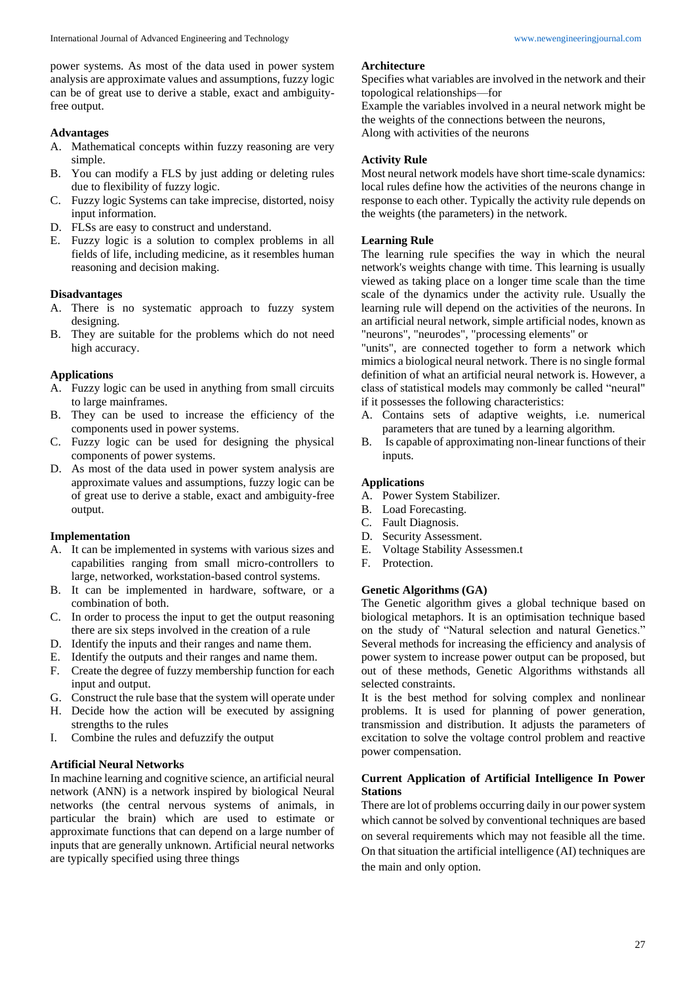power systems. As most of the data used in power system analysis are approximate values and assumptions, fuzzy logic can be of great use to derive a stable, exact and ambiguityfree output.

# **Advantages**

- A. Mathematical concepts within fuzzy reasoning are very simple.
- B. You can modify a FLS by just adding or deleting rules due to flexibility of fuzzy logic.
- C. Fuzzy logic Systems can take imprecise, distorted, noisy input information.
- D. FLSs are easy to construct and understand.
- E. Fuzzy logic is a solution to complex problems in all fields of life, including medicine, as it resembles human reasoning and decision making.

# **Disadvantages**

- A. There is no systematic approach to fuzzy system designing.
- B. They are suitable for the problems which do not need high accuracy.

# **Applications**

- A. Fuzzy logic can be used in anything from small circuits to large mainframes.
- B. They can be used to increase the efficiency of the components used in power systems.
- C. Fuzzy logic can be used for designing the physical components of power systems.
- D. As most of the data used in power system analysis are approximate values and assumptions, fuzzy logic can be of great use to derive a stable, exact and ambiguity-free output.

## **Implementation**

- A. It can be implemented in systems with various sizes and capabilities ranging from small micro-controllers to large, networked, workstation-based control systems.
- B. It can be implemented in hardware, software, or a combination of both.
- C. In order to process the input to get the output reasoning there are six steps involved in the creation of a rule
- D. Identify the inputs and their ranges and name them.
- E. Identify the outputs and their ranges and name them.
- F. Create the degree of fuzzy membership function for each input and output.
- G. Construct the rule base that the system will operate under
- H. Decide how the action will be executed by assigning strengths to the rules
- I. Combine the rules and defuzzify the output

# **Artificial Neural Networks**

In machine learning and cognitive science, an artificial neural network (ANN) is a network inspired by biological Neural networks (the central nervous systems of animals, in particular the brain) which are used to estimate or approximate functions that can depend on a large number of inputs that are generally unknown. Artificial neural networks are typically specified using three things

### **Architecture**

Specifies what variables are involved in the network and their topological relationships—for

Example the variables involved in a neural network might be the weights of the connections between the neurons, Along with activities of the neurons

## **Activity Rule**

Most neural network models have short time-scale dynamics: local rules define how the activities of the neurons change in response to each other. Typically the activity rule depends on the weights (the parameters) in the network.

## **Learning Rule**

The learning rule specifies the way in which the neural network's weights change with time. This learning is usually viewed as taking place on a longer time scale than the time scale of the dynamics under the activity rule. Usually the learning rule will depend on the activities of the neurons. In an artificial neural network, simple artificial nodes, known as "neurons", "neurodes", "processing elements" or

"units", are connected together to form a network which mimics a biological neural network. There is no single formal definition of what an artificial neural network is. However, a class of statistical models may commonly be called "neural" if it possesses the following characteristics:

- A. Contains sets of adaptive weights, i.e. numerical parameters that are tuned by a learning algorithm.
- B. Is capable of approximating non-linear functions of their inputs.

# **Applications**

- A. Power System Stabilizer.
- B. Load Forecasting.
- C. Fault Diagnosis.
- D. Security Assessment.
- E. Voltage Stability Assessmen.t
- F. Protection.

## **Genetic Algorithms (GA)**

The Genetic algorithm gives a global technique based on biological metaphors. It is an optimisation technique based on the study of "Natural selection and natural Genetics." Several methods for increasing the efficiency and analysis of power system to increase power output can be proposed, but out of these methods, Genetic Algorithms withstands all selected constraints.

It is the best method for solving complex and nonlinear problems. It is used for planning of power generation, transmission and distribution. It adjusts the parameters of excitation to solve the voltage control problem and reactive power compensation.

# **Current Application of Artificial Intelligence In Power Stations**

There are lot of problems occurring daily in our power system which cannot be solved by conventional techniques are based on several requirements which may not feasible all the time. On that situation the artificial intelligence (AI) techniques are the main and only option.